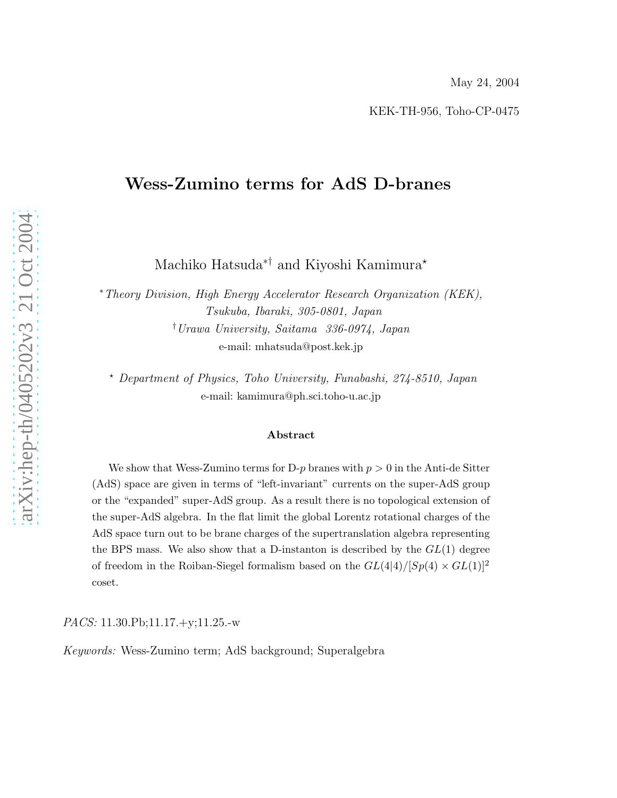### Wess-Zumino terms for AdS D-branes

Machiko Hatsuda<sup>∗†</sup> and Kiyoshi Kamimura<sup>★</sup>

<sup>∗</sup>*Theory Division, High Energy Accelerator Research Organization (KEK), Tsukuba, Ibaraki, 305-0801, Japan* †*Urawa University, Saitama 336-0974, Japan* e-mail: mhatsuda@post.kek.jp

<sup>⋆</sup> *Department of Physics, Toho University, Funabashi, 274-8510, Japan* e-mail: kamimura@ph.sci.toho-u.ac.jp

#### Abstract

We show that Wess-Zumino terms for D-p branes with  $p > 0$  in the Anti-de Sitter (AdS) space are given in terms of "left-invariant" currents on the super-AdS group or the "expanded" super-AdS group. As a result there is no topological extension of the super-AdS algebra. In the flat limit the global Lorentz rotational charges of the AdS space turn out to be brane charges of the supertranslation algebra representing the BPS mass. We also show that a D-instanton is described by the  $GL(1)$  degree of freedom in the Roiban-Siegel formalism based on the  $GL(4|4)/[Sp(4) \times GL(1)]^2$ coset.

*PACS:* 11.30.Pb;11.17.+y;11.25.-w

*Keywords:* Wess-Zumino term; AdS background; Superalgebra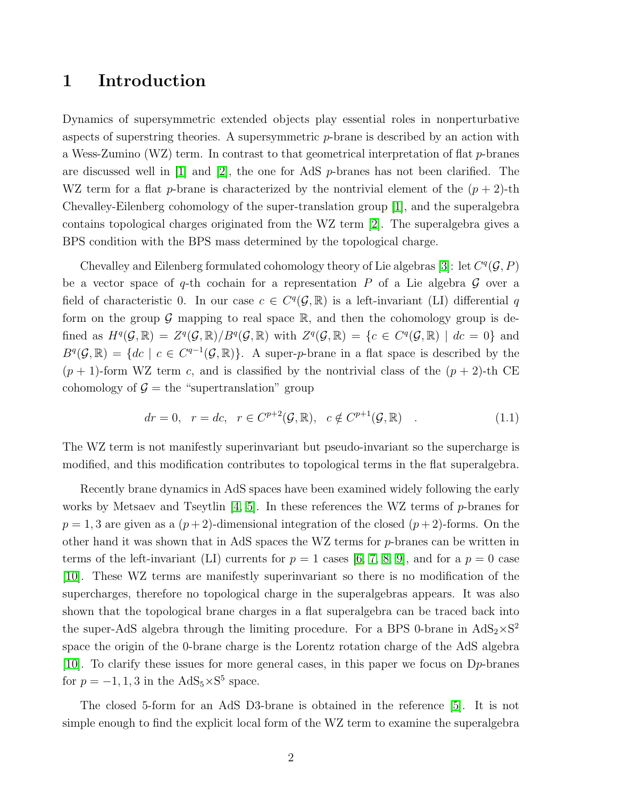# 1 Introduction

Dynamics of supersymmetric extended objects play essential roles in nonperturbative aspects of superstring theories. A supersymmetric  $p$ -brane is described by an action with a Wess-Zumino (WZ) term. In contrast to that geometrical interpretation of flat p-branes are discussed well in  $[1]$  and  $[2]$ , the one for AdS *p*-branes has not been clarified. The WZ term for a flat p-brane is characterized by the nontrivial element of the  $(p + 2)$ -th Chevalley-Eilenberg cohomology of the super-translation group [\[1\]](#page-16-0), and the superalgebra contains topological charges originated from the WZ term [\[2\]](#page-16-1). The superalgebra gives a BPS condition with the BPS mass determined by the topological charge.

Chevalley and Eilenberg formulated cohomology theory of Lie algebras [\[3\]](#page-16-2): let  $C^q(G, P)$ be a vector space of q-th cochain for a representation  $P$  of a Lie algebra  $G$  over a field of characteristic 0. In our case  $c \in C<sup>q</sup>(\mathcal{G}, \mathbb{R})$  is a left-invariant (LI) differential q form on the group  $\mathcal G$  mapping to real space  $\mathbb R$ , and then the cohomology group is defined as  $H^q(\mathcal{G}, \mathbb{R}) = Z^q(\mathcal{G}, \mathbb{R})/B^q(\mathcal{G}, \mathbb{R})$  with  $Z^q(\mathcal{G}, \mathbb{R}) = \{c \in C^q(\mathcal{G}, \mathbb{R}) \mid dc = 0\}$  and  $B^q(\mathcal{G}, \mathbb{R}) = \{dc \mid c \in C^{q-1}(\mathcal{G}, \mathbb{R})\}.$  A super-*p*-brane in a flat space is described by the  $(p+1)$ -form WZ term c, and is classified by the nontrivial class of the  $(p+2)$ -th CE cohomology of  $\mathcal{G} =$  the "supertranslation" group

$$
dr = 0, \quad r = dc, \quad r \in C^{p+2}(\mathcal{G}, \mathbb{R}), \quad c \notin C^{p+1}(\mathcal{G}, \mathbb{R}) \quad . \tag{1.1}
$$

The WZ term is not manifestly superinvariant but pseudo-invariant so the supercharge is modified, and this modification contributes to topological terms in the flat superalgebra.

Recently brane dynamics in AdS spaces have been examined widely following the early works by Metsaev and Tseytlin  $[4, 5]$  $[4, 5]$ . In these references the WZ terms of p-branes for  $p = 1, 3$  are given as a  $(p+2)$ -dimensional integration of the closed  $(p+2)$ -forms. On the other hand it was shown that in AdS spaces the WZ terms for p-branes can be written in terms of the left-invariant (LI) currents for  $p = 1$  cases [\[6,](#page-16-5) [7,](#page-17-0) [8,](#page-17-1) [9\]](#page-17-2), and for a  $p = 0$  case [\[10\]](#page-17-3). These WZ terms are manifestly superinvariant so there is no modification of the supercharges, therefore no topological charge in the superalgebras appears. It was also shown that the topological brane charges in a flat superalgebra can be traced back into the super-AdS algebra through the limiting procedure. For a BPS 0-brane in  $AdS_2 \times S^2$ space the origin of the 0-brane charge is the Lorentz rotation charge of the AdS algebra [\[10\]](#page-17-3). To clarify these issues for more general cases, in this paper we focus on  $D_p$ -branes for  $p = -1, 1, 3$  in the  $AdS_5 \times S^5$  space.

The closed 5-form for an AdS D3-brane is obtained in the reference [\[5\]](#page-16-4). It is not simple enough to find the explicit local form of the WZ term to examine the superalgebra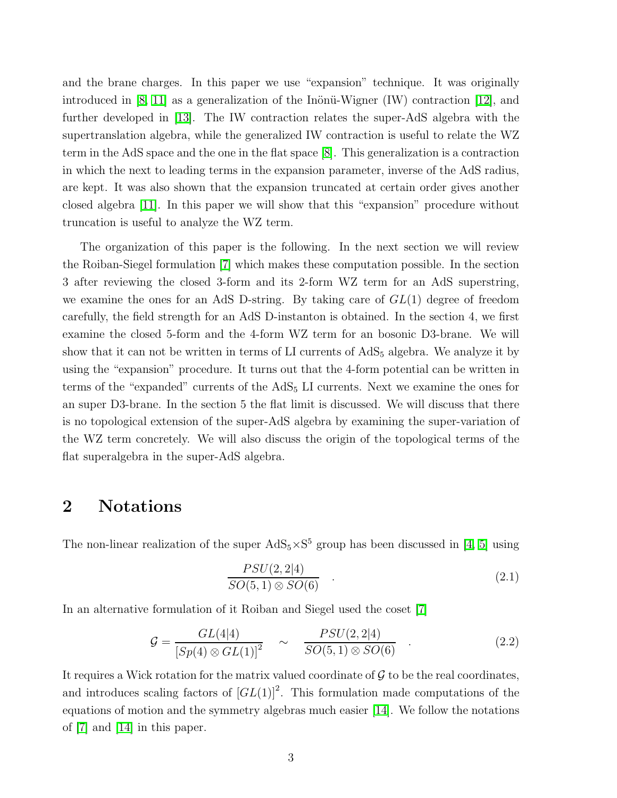and the brane charges. In this paper we use "expansion" technique. It was originally introduced in [\[8,](#page-17-1) [11\]](#page-17-4) as a generalization of the Inönü-Wigner (IW) contraction [\[12\]](#page-17-5), and further developed in [\[13\]](#page-17-6). The IW contraction relates the super-AdS algebra with the supertranslation algebra, while the generalized IW contraction is useful to relate the WZ term in the AdS space and the one in the flat space [\[8\]](#page-17-1). This generalization is a contraction in which the next to leading terms in the expansion parameter, inverse of the AdS radius, are kept. It was also shown that the expansion truncated at certain order gives another closed algebra [\[11\]](#page-17-4). In this paper we will show that this "expansion" procedure without truncation is useful to analyze the WZ term.

The organization of this paper is the following. In the next section we will review the Roiban-Siegel formulation [\[7\]](#page-17-0) which makes these computation possible. In the section 3 after reviewing the closed 3-form and its 2-form WZ term for an AdS superstring, we examine the ones for an AdS D-string. By taking care of  $GL(1)$  degree of freedom carefully, the field strength for an AdS D-instanton is obtained. In the section 4, we first examine the closed 5-form and the 4-form WZ term for an bosonic D3-brane. We will show that it can not be written in terms of  $LI$  currents of  $AdS<sub>5</sub>$  algebra. We analyze it by using the "expansion" procedure. It turns out that the 4-form potential can be written in terms of the "expanded" currents of the  $AdS<sub>5</sub>$  LI currents. Next we examine the ones for an super D3-brane. In the section 5 the flat limit is discussed. We will discuss that there is no topological extension of the super-AdS algebra by examining the super-variation of the WZ term concretely. We will also discuss the origin of the topological terms of the flat superalgebra in the super-AdS algebra.

### 2 Notations

The non-linear realization of the super  $AdS_5 \times S^5$  group has been discussed in [\[4,](#page-16-3) [5\]](#page-16-4) using

$$
\frac{PSU(2,2|4)}{SO(5,1)\otimes SO(6)}\tag{2.1}
$$

In an alternative formulation of it Roiban and Siegel used the coset [\[7\]](#page-17-0)

$$
G = \frac{GL(4|4)}{[Sp(4) \otimes GL(1)]^2} \sim \frac{PSU(2,2|4)}{SO(5,1) \otimes SO(6)} \tag{2.2}
$$

It requires a Wick rotation for the matrix valued coordinate of  $G$  to be the real coordinates, and introduces scaling factors of  $\left[GL(1)\right]^2$ . This formulation made computations of the equations of motion and the symmetry algebras much easier [\[14\]](#page-17-7). We follow the notations of [\[7\]](#page-17-0) and [\[14\]](#page-17-7) in this paper.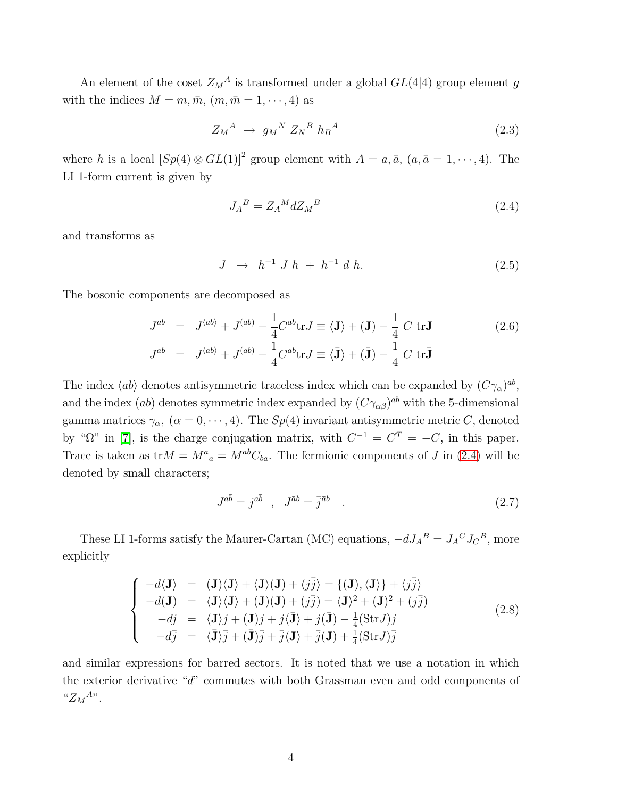An element of the coset  $Z_M^A$  is transformed under a global  $GL(4|4)$  group element g with the indices  $M = m, \bar{m}, (m, \bar{m} = 1, \dots, 4)$  as

$$
Z_M^A \rightarrow g_M^N Z_N^B h_B^A \tag{2.3}
$$

where h is a local  $[Sp(4) \otimes GL(1)]^2$  group element with  $A = a, \bar{a}, (a, \bar{a} = 1, \dots, 4)$ . The LI 1-form current is given by

<span id="page-3-0"></span>
$$
J_A{}^B = Z_A{}^M dZ_M{}^B \tag{2.4}
$$

and transforms as

$$
J \ \to \ h^{-1} \ J \ h \ + \ h^{-1} \ d \ h. \tag{2.5}
$$

The bosonic components are decomposed as

<span id="page-3-2"></span>
$$
J^{ab} = J^{\langle ab \rangle} + J^{(ab)} - \frac{1}{4} C^{ab} \text{tr} J \equiv \langle \mathbf{J} \rangle + (\mathbf{J}) - \frac{1}{4} C \text{ tr} \mathbf{J}
$$
  
\n
$$
J^{\bar{a}\bar{b}} = J^{\langle \bar{a}\bar{b} \rangle} + J^{\langle \bar{a}\bar{b} \rangle} - \frac{1}{4} C^{\bar{a}\bar{b}} \text{tr} J \equiv \langle \bar{\mathbf{J}} \rangle + (\bar{\mathbf{J}}) - \frac{1}{4} C \text{ tr} \bar{\mathbf{J}}
$$
\n(2.6)

The index  $\langle ab \rangle$  denotes antisymmetric traceless index which can be expanded by  $(C\gamma_\alpha)^{ab}$ , and the index (ab) denotes symmetric index expanded by  $(C_{\gamma_{\alpha\beta}})^{ab}$  with the 5-dimensional gamma matrices  $\gamma_{\alpha}$ ,  $(\alpha = 0, \dots, 4)$ . The  $Sp(4)$  invariant antisymmetric metric C, denoted by " $\Omega$ " in [\[7\]](#page-17-0), is the charge conjugation matrix, with  $C^{-1} = C^{T} = -C$ , in this paper. Trace is taken as  $tr M = M^a{}_a = M^{ab}C_{ba}$ . The fermionic components of J in [\(2.4\)](#page-3-0) will be denoted by small characters;

$$
J^{a\bar{b}} = j^{a\bar{b}} \quad , \quad J^{\bar{a}b} = \bar{j}^{\bar{a}b} \quad . \tag{2.7}
$$

These LI 1-forms satisfy the Maurer-Cartan (MC) equations,  $-dJ_A{}^B = J_A{}^C J_C{}^B$ , more explicitly

$$
\begin{cases}\n-d\langle \mathbf{J} \rangle = (\mathbf{J})\langle \mathbf{J} \rangle + \langle \mathbf{J} \rangle(\mathbf{J}) + \langle j\overline{j} \rangle = \{(\mathbf{J}), \langle \mathbf{J} \rangle\} + \langle j\overline{j} \rangle \\
-d(\mathbf{J}) = \langle \mathbf{J} \rangle \langle \mathbf{J} \rangle + (\mathbf{J})(\mathbf{J}) + (j\overline{j}) = \langle \mathbf{J} \rangle^2 + (\mathbf{J})^2 + (j\overline{j}) \\
-d\overline{j} = \langle \mathbf{J} \rangle \overline{j} + (\mathbf{J})\overline{j} + j\langle \mathbf{J} \rangle + j(\mathbf{J}) - \frac{1}{4}(\text{StrJ})\overline{j} \\
-d\overline{j} = \langle \mathbf{J} \rangle \overline{j} + (\mathbf{J})\overline{j} + \overline{j}\langle \mathbf{J} \rangle + \overline{j}(\mathbf{J}) + \frac{1}{4}(\text{StrJ})\overline{j}\n\end{cases}
$$
\n(2.8)

<span id="page-3-1"></span>and similar expressions for barred sectors. It is noted that we use a notation in which the exterior derivative "d" commutes with both Grassman even and odd components of " $Z_M{}^{A}$ ".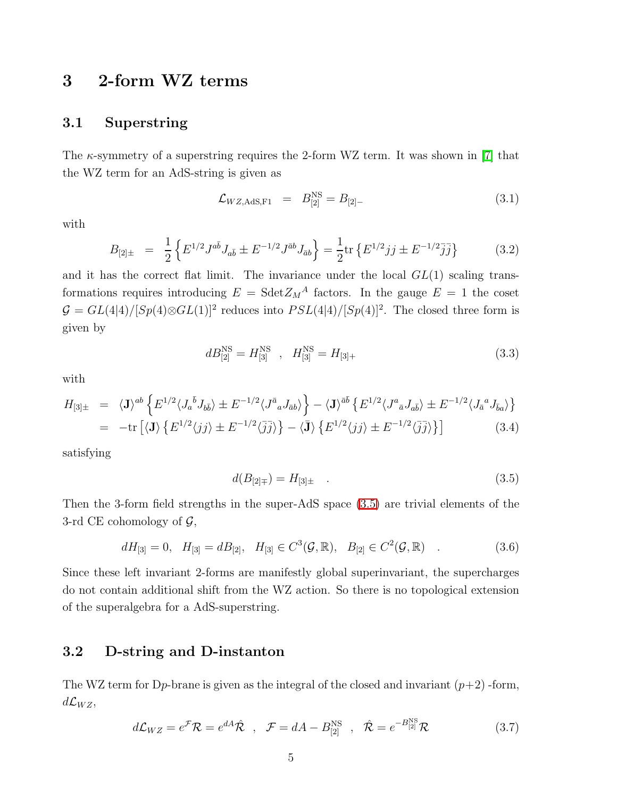# 3 2-form WZ terms

#### 3.1 Superstring

The  $\kappa$ -symmetry of a superstring requires the 2-form WZ term. It was shown in [\[7\]](#page-17-0) that the WZ term for an AdS-string is given as

$$
\mathcal{L}_{WZ,\text{AdS},\text{F1}} = B_{[2]}^{\text{NS}} = B_{[2]-} \tag{3.1}
$$

<span id="page-4-2"></span>with

<span id="page-4-1"></span>
$$
B_{[2]\pm} = \frac{1}{2} \left\{ E^{1/2} J^{a\bar{b}} J_{a\bar{b}} \pm E^{-1/2} J^{\bar{a}b} J_{\bar{a}b} \right\} = \frac{1}{2} \text{tr} \left\{ E^{1/2} j j \pm E^{-1/2} \bar{j} \bar{j} \right\} \tag{3.2}
$$

and it has the correct flat limit. The invariance under the local  $GL(1)$  scaling transformations requires introducing  $E = \text{Sdet} Z_M^A$  factors. In the gauge  $E = 1$  the coset  $G = GL(4|4)/[Sp(4)\otimes GL(1)]^2$  reduces into  $PSL(4|4)/[Sp(4)]^2$ . The closed three form is given by

<span id="page-4-3"></span>
$$
dB_{[2]}^{\text{NS}} = H_{[3]}^{\text{NS}} \quad , \quad H_{[3]}^{\text{NS}} = H_{[3]+} \tag{3.3}
$$

with

<span id="page-4-4"></span>
$$
H_{[3]\pm} = \langle \mathbf{J} \rangle^{ab} \left\{ E^{1/2} \langle J_a^{\bar{b}} J_{b\bar{b}} \rangle \pm E^{-1/2} \langle J^{\bar{a}}{}_a J_{\bar{a}b} \rangle \right\} - \langle \mathbf{J} \rangle^{\bar{a}\bar{b}} \left\{ E^{1/2} \langle J^a{}_{\bar{a}} J_{a\bar{b}} \rangle \pm E^{-1/2} \langle J_{\bar{a}}{}^a J_{\bar{b}a} \rangle \right\}
$$
  
=  $-\text{tr} \left[ \langle \mathbf{J} \rangle \left\{ E^{1/2} \langle jj \rangle \pm E^{-1/2} \langle jj \rangle \right\} - \langle \bar{\mathbf{J}} \rangle \left\{ E^{1/2} \langle jj \rangle \pm E^{-1/2} \langle jj \rangle \right\} \right]$  (3.4)

satisfying

<span id="page-4-0"></span>
$$
d(B_{[2]\mp}) = H_{[3]\pm} \quad . \tag{3.5}
$$

Then the 3-form field strengths in the super-AdS space [\(3.5\)](#page-4-0) are trivial elements of the 3-rd CE cohomology of  $\mathcal{G}$ ,

$$
dH_{[3]} = 0, \quad H_{[3]} = dB_{[2]}, \quad H_{[3]} \in C^3(\mathcal{G}, \mathbb{R}), \quad B_{[2]} \in C^2(\mathcal{G}, \mathbb{R}) \quad . \tag{3.6}
$$

Since these left invariant 2-forms are manifestly global superinvariant, the supercharges do not contain additional shift from the WZ action. So there is no topological extension of the superalgebra for a AdS-superstring.

#### 3.2 D-string and D-instanton

<span id="page-4-5"></span>The WZ term for D<sub>p</sub>-brane is given as the integral of the closed and invariant  $(p+2)$ -form,  $d\mathcal{L}_{WZ}$ 

$$
d\mathcal{L}_{WZ} = e^{\mathcal{F}} \mathcal{R} = e^{d\mathcal{A}} \hat{\mathcal{R}} \quad , \quad \mathcal{F} = d\mathcal{A} - B_{[2]}^{NS} \quad , \quad \hat{\mathcal{R}} = e^{-B_{[2]}^{NS}} \mathcal{R} \tag{3.7}
$$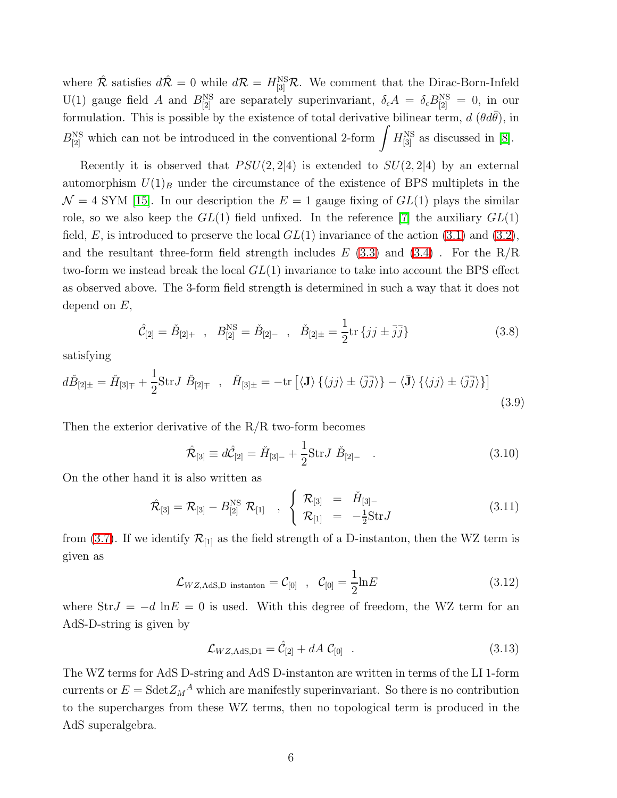where  $\hat{\mathcal{R}}$  satisfies  $d\hat{\mathcal{R}} = 0$  while  $d\mathcal{R} = H_{[3]}^{NS}\mathcal{R}$ . We comment that the Dirac-Born-Infeld U(1) gauge field A and  $B_{[2]}^{NS}$  are separately superinvariant,  $\delta_{\epsilon}A = \delta_{\epsilon}B_{[2]}^{NS} = 0$ , in our formulation. This is possible by the existence of total derivative bilinear term,  $d(\theta d\bar{\theta})$ , in  $B_{[2]}^{\text{NS}}$  which can not be introduced in the conventional 2-form  $\int H_{[3]}^{\text{NS}}$  as discussed in [\[8\]](#page-17-1).

Recently it is observed that  $PSU(2, 2|4)$  is extended to  $SU(2, 2|4)$  by an external automorphism  $U(1)_B$  under the circumstance of the existence of BPS multiplets in the  $\mathcal{N} = 4$  SYM [\[15\]](#page-17-8). In our description the  $E = 1$  gauge fixing of  $GL(1)$  plays the similar role, so we also keep the  $GL(1)$  field unfixed. In the reference [\[7\]](#page-17-0) the auxiliary  $GL(1)$ field, E, is introduced to preserve the local  $GL(1)$  invariance of the action [\(3.1\)](#page-4-1) and [\(3.2\)](#page-4-2), and the resultant three-form field strength includes  $E(3.3)$  $E(3.3)$  and  $(3.4)$ . For the R/R two-form we instead break the local  $GL(1)$  invariance to take into account the BPS effect as observed above. The 3-form field strength is determined in such a way that it does not depend on  $E$ ,

$$
\hat{\mathcal{C}}_{[2]} = \check{B}_{[2]+} \ , \ B_{[2]}^{\text{NS}} = \check{B}_{[2]-} \ , \ \check{B}_{[2]\pm} = \frac{1}{2} \text{tr} \{ jj \pm \bar{j} \} \tag{3.8}
$$

<span id="page-5-1"></span>satisfying

$$
d\check{B}_{[2]\pm} = \check{H}_{[3]\mp} + \frac{1}{2} \text{Str} J \check{B}_{[2]\mp} \ , \quad \check{H}_{[3]\pm} = -\text{tr}\left[ \langle \mathbf{J} \rangle \{ \langle jj \rangle \pm \langle \overline{j} \overline{j} \rangle \} - \langle \mathbf{\bar{J}} \rangle \{ \langle jj \rangle \pm \langle \overline{j} \overline{j} \rangle \} \right] \tag{3.9}
$$

<span id="page-5-0"></span>Then the exterior derivative of the  $R/R$  two-form becomes

$$
\hat{\mathcal{R}}_{[3]} \equiv d\hat{\mathcal{C}}_{[2]} = \check{H}_{[3]-} + \frac{1}{2} \text{Str} J \; \check{B}_{[2]-} \quad . \tag{3.10}
$$

On the other hand it is also written as

$$
\hat{\mathcal{R}}_{[3]} = \mathcal{R}_{[3]} - B_{[2]}^{NS} \mathcal{R}_{[1]} , \begin{cases} \mathcal{R}_{[3]} = \check{H}_{[3]-} \\ \mathcal{R}_{[1]} = -\frac{1}{2} \text{Str} J \end{cases}
$$
(3.11)

from [\(3.7\)](#page-4-5). If we identify  $\mathcal{R}_{11}$  as the field strength of a D-instanton, then the WZ term is given as

$$
\mathcal{L}_{WZ,\text{AdS,D instanton}} = \mathcal{C}_{[0]} \quad , \quad \mathcal{C}_{[0]} = \frac{1}{2} \ln E \tag{3.12}
$$

where  $StrJ = -d \ln E = 0$  is used. With this degree of freedom, the WZ term for an AdS-D-string is given by

$$
\mathcal{L}_{WZ, \text{AdS}, D1} = \hat{\mathcal{C}}_{[2]} + dA \; \mathcal{C}_{[0]} \quad . \tag{3.13}
$$

The WZ terms for AdS D-string and AdS D-instanton are written in terms of the LI 1-form currents or  $E = Sdet Z_M^A$  which are manifestly superinvariant. So there is no contribution to the supercharges from these WZ terms, then no topological term is produced in the AdS superalgebra.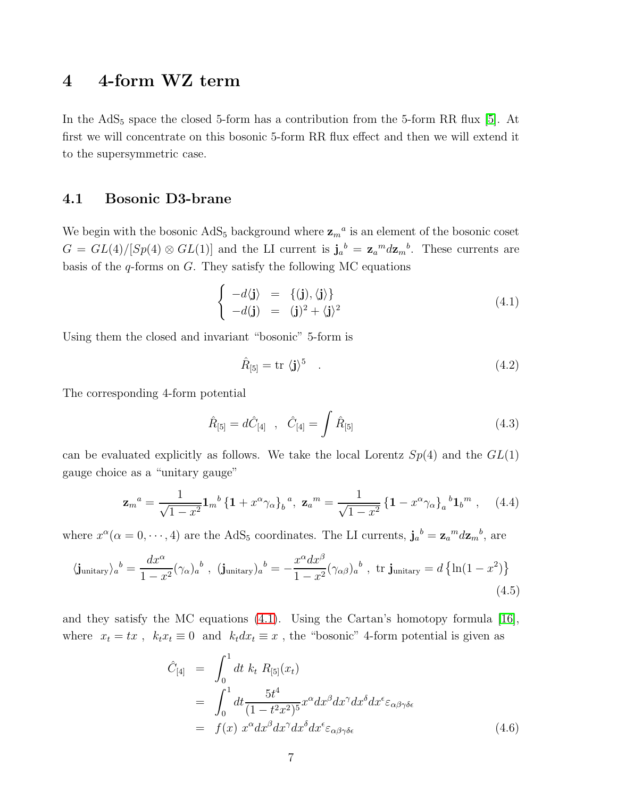# 4 4-form WZ term

In the  $AdS_5$  space the closed 5-form has a contribution from the 5-form RR flux [\[5\]](#page-16-4). At first we will concentrate on this bosonic 5-form RR flux effect and then we will extend it to the supersymmetric case.

#### 4.1 Bosonic D3-brane

We begin with the bosonic  $AdS_5$  background where  $\mathbf{z}_{m}^{a}$  is an element of the bosonic coset  $G = GL(4)/[Sp(4) \otimes GL(1)]$  and the LI current is  $\mathbf{j}_a{}^b = \mathbf{z}_a{}^m d\mathbf{z}_m{}^b$ . These currents are basis of the  $q$ -forms on  $G$ . They satisfy the following MC equations

<span id="page-6-0"></span>
$$
\begin{cases}\n-d\langle \mathbf{j} \rangle = \{(\mathbf{j}), \langle \mathbf{j} \rangle\} \\
-d\langle \mathbf{j} \rangle = (\mathbf{j})^2 + \langle \mathbf{j} \rangle^2\n\end{cases}
$$
\n(4.1)

Using them the closed and invariant "bosonic" 5-form is

$$
\hat{R}_{[5]} = \text{tr} \langle \mathbf{j} \rangle^5 \quad . \tag{4.2}
$$

The corresponding 4-form potential

<span id="page-6-4"></span><span id="page-6-1"></span>
$$
\hat{R}_{[5]} = d\hat{C}_{[4]} \quad , \quad \hat{C}_{[4]} = \int \hat{R}_{[5]} \tag{4.3}
$$

can be evaluated explicitly as follows. We take the local Lorentz  $Sp(4)$  and the  $GL(1)$ gauge choice as a "unitary gauge"

$$
\mathbf{z}_{m}{}^{a} = \frac{1}{\sqrt{1-x^{2}}} \mathbf{1}_{m}{}^{b} \left\{ \mathbf{1} + x^{\alpha} \gamma_{\alpha} \right\}_{b}{}^{a}, \ \mathbf{z}_{a}{}^{m} = \frac{1}{\sqrt{1-x^{2}}} \left\{ \mathbf{1} - x^{\alpha} \gamma_{\alpha} \right\}_{a}{}^{b} \mathbf{1}_{b}{}^{m}, \quad (4.4)
$$

<span id="page-6-3"></span><span id="page-6-2"></span>where  $x^{\alpha}(\alpha=0,\dots,4)$  are the AdS<sub>5</sub> coordinates. The LI currents,  $\mathbf{j}_a{}^b = \mathbf{z}_a{}^m d\mathbf{z}_m{}^b$ , are

$$
\langle \mathbf{j}_{\text{unitary}} \rangle_a{}^b = \frac{dx^\alpha}{1 - x^2} (\gamma_\alpha)_a{}^b , \quad (\mathbf{j}_{\text{unitary}})_a{}^b = -\frac{x^\alpha dx^\beta}{1 - x^2} (\gamma_{\alpha\beta})_a{}^b , \quad \text{tr } \mathbf{j}_{\text{unitary}} = d \left\{ \ln(1 - x^2) \right\}
$$
\n
$$
(4.5)
$$

and they satisfy the MC equations [\(4.1\)](#page-6-0). Using the Cartan's homotopy formula [\[16\]](#page-17-9), where  $x_t = tx$ ,  $k_t x_t \equiv 0$  and  $k_t dx_t \equiv x$ , the "bosonic" 4-form potential is given as

$$
\hat{C}_{[4]} = \int_0^1 dt \ k_t \ R_{[5]}(x_t)
$$
\n
$$
= \int_0^1 dt \frac{5t^4}{(1 - t^2 x^2)^5} x^\alpha dx^\beta dx^\gamma dx^\delta dx^\epsilon \varepsilon_{\alpha\beta\gamma\delta\epsilon}
$$
\n
$$
= f(x) \ x^\alpha dx^\beta dx^\gamma dx^\delta dx^\epsilon \varepsilon_{\alpha\beta\gamma\delta\epsilon}
$$
\n(4.6)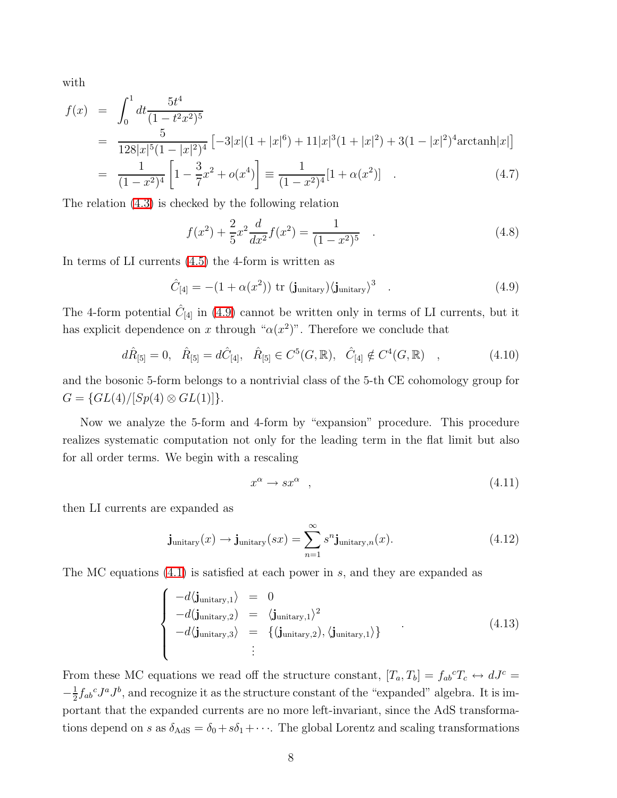with

$$
f(x) = \int_0^1 dt \frac{5t^4}{(1 - t^2 x^2)^5}
$$
  
= 
$$
\frac{5}{128|x|^5(1 - |x|^2)^4} \left[ -3|x|(1 + |x|^6) + 11|x|^3(1 + |x|^2) + 3(1 - |x|^2)^4 \arctan|x| \right]
$$
  
= 
$$
\frac{1}{(1 - x^2)^4} \left[ 1 - \frac{3}{7}x^2 + o(x^4) \right] \equiv \frac{1}{(1 - x^2)^4} [1 + o(x^2)] \qquad (4.7)
$$

The relation [\(4.3\)](#page-6-1) is checked by the following relation

$$
f(x^{2}) + \frac{2}{5}x^{2} \frac{d}{dx^{2}} f(x^{2}) = \frac{1}{(1 - x^{2})^{5}} \quad . \tag{4.8}
$$

<span id="page-7-0"></span>In terms of LI currents [\(4.5\)](#page-6-2) the 4-form is written as

$$
\hat{C}_{[4]} = -(1 + \alpha(x^2)) \text{ tr } (\mathbf{j}_{\text{unitary}}) \langle \mathbf{j}_{\text{unitary}} \rangle^3 \quad . \tag{4.9}
$$

The 4-form potential  $\hat{C}_{[4]}$  in [\(4.9\)](#page-7-0) cannot be written only in terms of LI currents, but it has explicit dependence on x through " $\alpha(x^2)$ ". Therefore we conclude that

$$
d\hat{R}_{[5]} = 0, \quad \hat{R}_{[5]} = d\hat{C}_{[4]}, \quad \hat{R}_{[5]} \in C^5(G, \mathbb{R}), \quad \hat{C}_{[4]} \notin C^4(G, \mathbb{R}) \quad , \tag{4.10}
$$

and the bosonic 5-form belongs to a nontrivial class of the 5-th CE cohomology group for  $G = \{GL(4)/[Sp(4) \otimes GL(1)]\}.$ 

Now we analyze the 5-form and 4-form by "expansion" procedure. This procedure realizes systematic computation not only for the leading term in the flat limit but also for all order terms. We begin with a rescaling

$$
x^{\alpha} \to sx^{\alpha} \quad , \tag{4.11}
$$

then LI currents are expanded as

$$
\mathbf{j}_{\text{unitary}}(x) \to \mathbf{j}_{\text{unitary}}(sx) = \sum_{n=1}^{\infty} s^n \mathbf{j}_{\text{unitary},n}(x). \tag{4.12}
$$

The MC equations [\(4.1\)](#page-6-0) is satisfied at each power in s, and they are expanded as

$$
\begin{cases}\n-d\langle \mathbf{j}_{\text{unitary},1} \rangle = 0 \\
-d(\mathbf{j}_{\text{unitary},2}) = \langle \mathbf{j}_{\text{unitary},1} \rangle^2 \\
-d\langle \mathbf{j}_{\text{unitary},3} \rangle = \{(\mathbf{j}_{\text{unitary},2}), \langle \mathbf{j}_{\text{unitary},1} \rangle\}\n\end{cases} (4.13)
$$

From these MC equations we read off the structure constant,  $[T_a, T_b] = f_{ab}{}^c T_c \leftrightarrow dJ^c =$  $-\frac{1}{2}$  $\frac{1}{2}f_{ab}{}^c J^a J^b$ , and recognize it as the structure constant of the "expanded" algebra. It is important that the expanded currents are no more left-invariant, since the AdS transformations depend on s as  $\delta_{\text{AdS}} = \delta_0 + s\delta_1 + \cdots$ . The global Lorentz and scaling transformations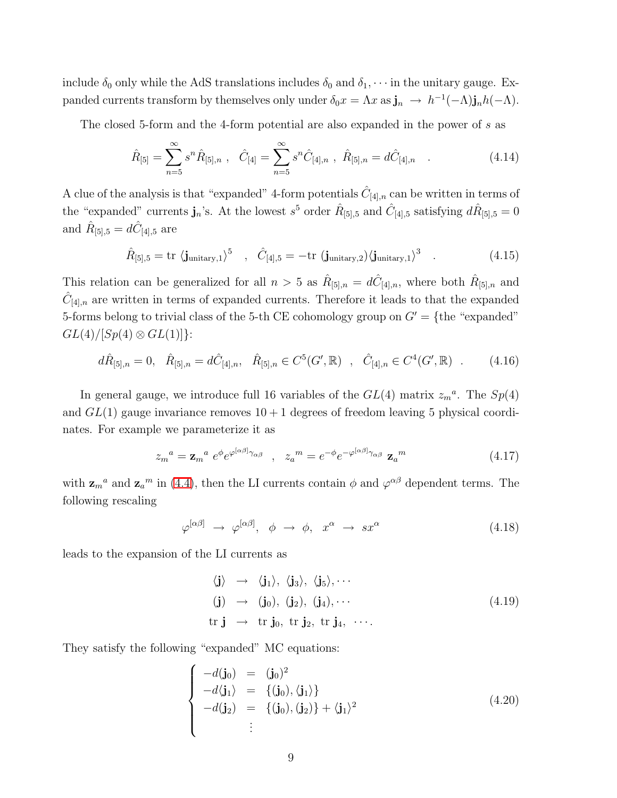include  $\delta_0$  only while the AdS translations includes  $\delta_0$  and  $\delta_1, \cdots$  in the unitary gauge. Expanded currents transform by themselves only under  $\delta_0 x = \Lambda x$  as  $\mathbf{j}_n \to h^{-1}(-\Lambda)\mathbf{j}_n h(-\Lambda)$ .

The closed 5-form and the 4-form potential are also expanded in the power of s as

$$
\hat{R}_{[5]} = \sum_{n=5}^{\infty} s^n \hat{R}_{[5],n} , \quad \hat{C}_{[4]} = \sum_{n=5}^{\infty} s^n \hat{C}_{[4],n} , \quad \hat{R}_{[5],n} = d\hat{C}_{[4],n} . \tag{4.14}
$$

A clue of the analysis is that "expanded" 4-form potentials  $\hat{C}_{[4],n}$  can be written in terms of the "expanded" currents  $\mathbf{j}_n$ 's. At the lowest  $s^5$  order  $\hat{R}_{[5],5}$  and  $\hat{C}_{[4],5}$  satisfying  $d\hat{R}_{[5],5} = 0$ and  $\hat{R}_{[5],5} = d\hat{C}_{[4],5}$  are

$$
\hat{R}_{[5],5} = \text{tr} \langle \mathbf{j}_{\text{unitary},1} \rangle^5 \quad , \quad \hat{C}_{[4],5} = -\text{tr} \langle \mathbf{j}_{\text{unitary},2} \rangle \langle \mathbf{j}_{\text{unitary},1} \rangle^3 \quad . \tag{4.15}
$$

This relation can be generalized for all  $n > 5$  as  $\hat{R}_{[5],n} = d\hat{C}_{[4],n}$ , where both  $\hat{R}_{[5],n}$  and  $\hat{C}_{[4],n}$  are written in terms of expanded currents. Therefore it leads to that the expanded 5-forms belong to trivial class of the 5-th CE cohomology group on  $G' = \{$ the "expanded"  $GL(4)/[Sp(4) \otimes GL(1)]$ :

$$
d\hat{R}_{[5],n} = 0, \quad \hat{R}_{[5],n} = d\hat{C}_{[4],n}, \quad \hat{R}_{[5],n} \in C^5(G', \mathbb{R}) \quad , \quad \hat{C}_{[4],n} \in C^4(G', \mathbb{R}) \quad . \tag{4.16}
$$

<span id="page-8-1"></span>In general gauge, we introduce full 16 variables of the  $GL(4)$  matrix  $z_m^a$ . The  $Sp(4)$ and  $GL(1)$  gauge invariance removes  $10 + 1$  degrees of freedom leaving 5 physical coordinates. For example we parameterize it as

$$
z_m^a = \mathbf{z}_m^a e^{\phi} e^{\varphi^{[\alpha\beta]}\gamma_{\alpha\beta}}, \quad z_a^m = e^{-\phi} e^{-\varphi^{[\alpha\beta]}\gamma_{\alpha\beta}} \mathbf{z}_a^m \tag{4.17}
$$

with  $\mathbf{z}_{m}^{a}$  and  $\mathbf{z}_{a}^{m}$  in [\(4.4\)](#page-6-3), then the LI currents contain  $\phi$  and  $\varphi^{\alpha\beta}$  dependent terms. The following rescaling

$$
\varphi^{[\alpha\beta]} \rightarrow \varphi^{[\alpha\beta]}, \phi \rightarrow \phi, \quad x^{\alpha} \rightarrow sx^{\alpha} \tag{4.18}
$$

leads to the expansion of the LI currents as

$$
\langle \mathbf{j} \rangle \rightarrow \langle \mathbf{j}_1 \rangle, \langle \mathbf{j}_3 \rangle, \langle \mathbf{j}_5 \rangle, \cdots
$$
  
\n
$$
(\mathbf{j}) \rightarrow (\mathbf{j}_0), (\mathbf{j}_2), (\mathbf{j}_4), \cdots
$$
  
\n
$$
\text{tr } \mathbf{j} \rightarrow \text{tr } \mathbf{j}_0, \text{ tr } \mathbf{j}_2, \text{ tr } \mathbf{j}_4, \cdots
$$
 (4.19)

<span id="page-8-0"></span>They satisfy the following "expanded" MC equations:

$$
\begin{cases}\n-d(\mathbf{j}_0) = (\mathbf{j}_0)^2 \\
-d\langle \mathbf{j}_1 \rangle = \{(\mathbf{j}_0), \langle \mathbf{j}_1 \rangle\} \\
-d(\mathbf{j}_2) = \{(\mathbf{j}_0), (\mathbf{j}_2)\} + \langle \mathbf{j}_1 \rangle^2 \\
\vdots\n\end{cases}
$$
\n(4.20)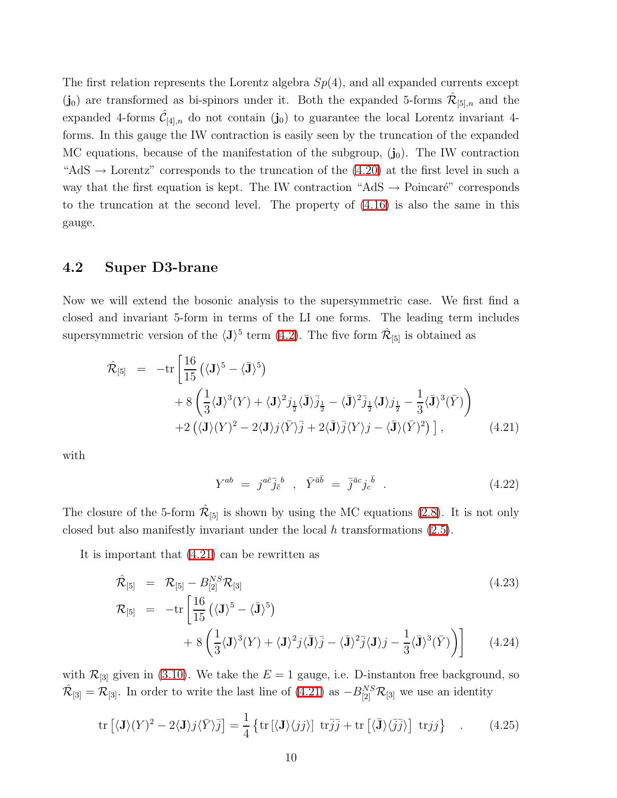The first relation represents the Lorentz algebra  $Sp(4)$ , and all expanded currents except  $(j_0)$  are transformed as bi-spinors under it. Both the expanded 5-forms  $\hat{\mathcal{R}}_{[5],n}$  and the expanded 4-forms  $\hat{C}_{[4],n}$  do not contain  $(\mathbf{j}_0)$  to guarantee the local Lorentz invariant 4forms. In this gauge the IW contraction is easily seen by the truncation of the expanded MC equations, because of the manifestation of the subgroup,  $(j_0)$ . The IW contraction "AdS  $\rightarrow$  Lorentz" corresponds to the truncation of the [\(4.20\)](#page-8-0) at the first level in such a way that the first equation is kept. The IW contraction "AdS  $\rightarrow$  Poincaré" corresponds to the truncation at the second level. The property of [\(4.16\)](#page-8-1) is also the same in this gauge.

#### 4.2 Super D3-brane

<span id="page-9-0"></span>Now we will extend the bosonic analysis to the supersymmetric case. We first find a closed and invariant 5-form in terms of the LI one forms. The leading term includes supersymmetric version of the  $\langle J \rangle^5$  term  $(4.2)$ . The five form  $\hat{\mathcal{R}}_{[5]}$  is obtained as

$$
\hat{\mathcal{R}}_{[5]} = -\text{tr}\left[\frac{16}{15} \left(\langle \mathbf{J} \rangle^5 - \langle \mathbf{\bar{J}} \rangle^5\right) \right.\n+ 8\left(\frac{1}{3} \langle \mathbf{J} \rangle^3 (Y) + \langle \mathbf{J} \rangle^2 j_{\frac{1}{2}} \langle \mathbf{\bar{J}} \rangle \bar{j}_{\frac{1}{2}} - \langle \mathbf{\bar{J}} \rangle^2 \bar{j}_{\frac{1}{2}} \langle \mathbf{J} \rangle j_{\frac{1}{2}} - \frac{1}{3} \langle \mathbf{\bar{J}} \rangle^3 (\bar{Y})\right)\n+ 2\left(\langle \mathbf{J} \rangle (Y)^2 - 2 \langle \mathbf{J} \rangle j \langle \bar{Y} \rangle \bar{j} + 2 \langle \mathbf{\bar{J}} \rangle \bar{j} \langle Y \rangle j - \langle \mathbf{\bar{J}} \rangle (\bar{Y})^2\right)\right], \tag{4.21}
$$

with

$$
Y^{ab} = j^{a\bar{c}}\bar{j}^{\bar{b}}_{\bar{c}} , \quad \bar{Y}^{\bar{a}\bar{b}} = \bar{j}^{\bar{a}c}j^{\bar{b}}_{c} . \tag{4.22}
$$

The closure of the 5-form  $\hat{\mathcal{R}}_{[5]}$  is shown by using the MC equations [\(2.8\)](#page-3-1). It is not only closed but also manifestly invariant under the local  $h$  transformations  $(2.5)$ .

It is important that [\(4.21\)](#page-9-0) can be rewritten as

$$
\hat{\mathcal{R}}_{[5]} = \mathcal{R}_{[5]} - B_{[2]}^{NS} \mathcal{R}_{[3]}
$$
\n
$$
\mathcal{R}_{[5]} = -\text{tr}\left[\frac{16}{15} \left(\langle \mathbf{J} \rangle^5 - \langle \mathbf{J} \rangle^5\right) + 8 \left(\frac{1}{3} \langle \mathbf{J} \rangle^3 (Y) + \langle \mathbf{J} \rangle^2 j \langle \mathbf{J} \rangle \bar{j} - \langle \mathbf{J} \rangle^2 \bar{j} \langle \mathbf{J} \rangle j - \frac{1}{3} \langle \mathbf{J} \rangle^3 (\bar{Y})\right)\right]
$$
\n(4.24)

with  $\mathcal{R}_{3}$  given in [\(3.10\)](#page-5-0). We take the  $E = 1$  gauge, i.e. D-instanton free background, so  $\hat{\mathcal{R}}_{[3]} = \mathcal{R}_{[3]}$ . In order to write the last line of  $(4.21)$  as  $-B_{[2]}^{NS} \mathcal{R}_{[3]}$  we use an identity

$$
\operatorname{tr}\left[\langle \mathbf{J}\rangle(Y)^2 - 2\langle \mathbf{J}\rangle j \langle \bar{Y} \rangle \bar{j}\right] = \frac{1}{4} \left\{ \operatorname{tr}\left[\langle \mathbf{J}\rangle\langle jj \rangle\right] \operatorname{tr} \bar{j}\bar{j} + \operatorname{tr}\left[\langle \bar{\mathbf{J}}\rangle\langle \bar{j}\bar{j} \rangle\right] \operatorname{tr} jj \right\} \quad . \tag{4.25}
$$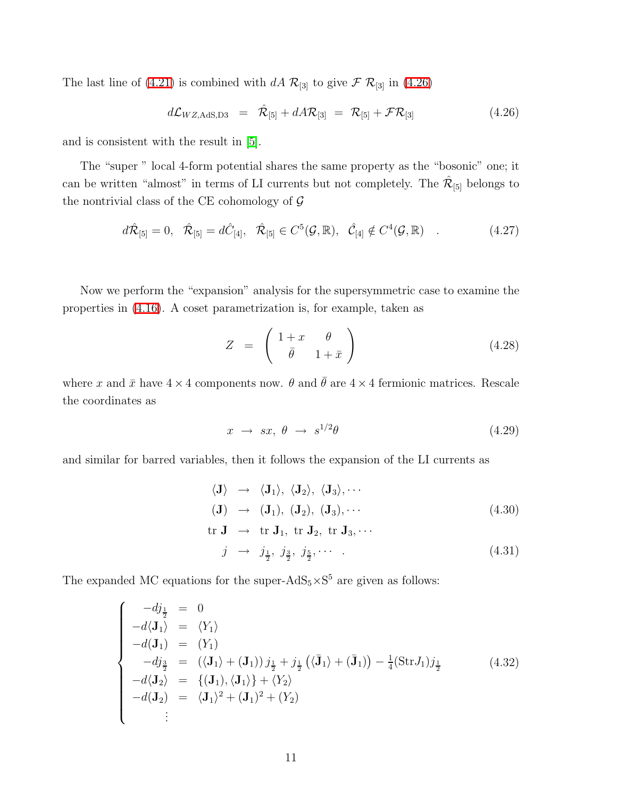<span id="page-10-0"></span>The last line of [\(4.21\)](#page-9-0) is combined with dA  $\mathcal{R}_{[3]}$  to give  $\mathcal{F}$   $\mathcal{R}_{[3]}$  in [\(4.26\)](#page-10-0)

$$
d\mathcal{L}_{WZ,AdS,D3} = \hat{\mathcal{R}}_{[5]} + dA\mathcal{R}_{[3]} = \mathcal{R}_{[5]} + \mathcal{F}\mathcal{R}_{[3]}
$$
(4.26)

and is consistent with the result in [\[5\]](#page-16-4).

The "super " local 4-form potential shares the same property as the "bosonic" one; it can be written "almost" in terms of LI currents but not completely. The  $\hat{\mathcal{R}}_{[5]}$  belongs to the nontrivial class of the CE cohomology of  $G$ 

$$
d\hat{\mathcal{R}}_{[5]} = 0, \quad \hat{\mathcal{R}}_{[5]} = d\hat{C}_{[4]}, \quad \hat{\mathcal{R}}_{[5]} \in C^5(\mathcal{G}, \mathbb{R}), \quad \hat{\mathcal{C}}_{[4]} \notin C^4(\mathcal{G}, \mathbb{R}) \quad . \tag{4.27}
$$

Now we perform the "expansion" analysis for the supersymmetric case to examine the properties in [\(4.16\)](#page-8-1). A coset parametrization is, for example, taken as

<span id="page-10-3"></span>
$$
Z = \begin{pmatrix} 1+x & \theta \\ \bar{\theta} & 1+\bar{x} \end{pmatrix} \tag{4.28}
$$

where x and  $\bar{x}$  have  $4 \times 4$  components now.  $\theta$  and  $\bar{\theta}$  are  $4 \times 4$  fermionic matrices. Rescale the coordinates as

<span id="page-10-2"></span>
$$
x \to sx, \ \theta \to s^{1/2}\theta \tag{4.29}
$$

and similar for barred variables, then it follows the expansion of the LI currents as

$$
\langle \mathbf{J} \rangle \rightarrow \langle \mathbf{J}_1 \rangle, \langle \mathbf{J}_2 \rangle, \langle \mathbf{J}_3 \rangle, \cdots
$$
  
\n
$$
(\mathbf{J}) \rightarrow (\mathbf{J}_1), (\mathbf{J}_2), (\mathbf{J}_3), \cdots
$$
  
\n
$$
\text{tr } \mathbf{J} \rightarrow \text{tr } \mathbf{J}_1, \text{ tr } \mathbf{J}_2, \text{ tr } \mathbf{J}_3, \cdots
$$
  
\n
$$
j \rightarrow j_{\frac{1}{2}}, j_{\frac{3}{2}}, j_{\frac{5}{2}}, \cdots
$$
  
\n(4.31)

<span id="page-10-1"></span>The expanded MC equations for the super- $AdS_5 \times S^5$  are given as follows:

$$
\begin{cases}\n-d\dot{y}_{\frac{1}{2}} = 0 \\
-d\langle \mathbf{J}_{1} \rangle = \langle Y_{1} \rangle \\
-d(\mathbf{J}_{1}) = (Y_{1}) \\
-d\dot{y}_{\frac{3}{2}} = (\langle \mathbf{J}_{1} \rangle + (\mathbf{J}_{1})) \, j_{\frac{1}{2}} + j_{\frac{1}{2}} (\langle \bar{\mathbf{J}}_{1} \rangle + (\bar{\mathbf{J}}_{1})) - \frac{1}{4} (\text{Str} J_{1}) \dot{y}_{\frac{1}{2}} \\
-d\langle \mathbf{J}_{2} \rangle = \{(\mathbf{J}_{1}), \langle \mathbf{J}_{1} \rangle\} + \langle Y_{2} \rangle \\
-d(\mathbf{J}_{2}) = \langle \mathbf{J}_{1} \rangle^{2} + (\mathbf{J}_{1})^{2} + (Y_{2}) \\
\vdots\n\end{cases}
$$
\n(4.32)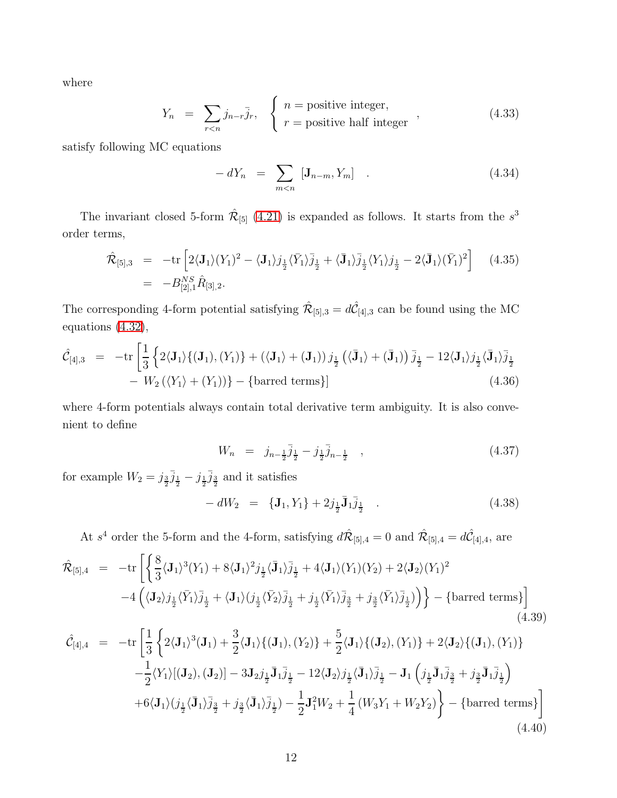where

$$
Y_n = \sum_{r < n} j_{n-r} \bar{j}_r, \quad \begin{cases} n = \text{positive integer,} \\ r = \text{positive half integer} \end{cases} \tag{4.33}
$$

satisfy following MC equations

$$
-dY_n = \sum_{m < n} \left[ \mathbf{J}_{n-m}, Y_m \right] \quad . \tag{4.34}
$$

The invariant closed 5-form  $\hat{\mathcal{R}}_{[5]}$  [\(4.21\)](#page-9-0) is expanded as follows. It starts from the  $s^3$ order terms,

$$
\hat{\mathcal{R}}_{[5],3} = -\text{tr}\left[2\langle \mathbf{J}_1 \rangle (Y_1)^2 - \langle \mathbf{J}_1 \rangle j_{\frac{1}{2}} \langle \bar{Y}_1 \rangle \bar{j}_{\frac{1}{2}} + \langle \bar{\mathbf{J}}_1 \rangle \bar{j}_{\frac{1}{2}} \langle Y_1 \rangle j_{\frac{1}{2}} - 2 \langle \bar{\mathbf{J}}_1 \rangle (\bar{Y}_1)^2\right] \tag{4.35}
$$
\n
$$
= -B_{[2],1}^{NS} \hat{R}_{[3],2}.
$$

The corresponding 4-form potential satisfying  $\hat{\mathcal{R}}_{[5],3} = d\hat{\mathcal{C}}_{[4],3}$  can be found using the MC equations [\(4.32\)](#page-10-1),

$$
\hat{\mathcal{C}}_{[4],3} = -\text{tr}\left[\frac{1}{3}\left\{2\langle\mathbf{J}_1\rangle\{(\mathbf{J}_1), (Y_1)\} + (\langle\mathbf{J}_1\rangle + (\mathbf{J}_1))j_{\frac{1}{2}}\left(\langle\bar{\mathbf{J}}_1\rangle + (\bar{\mathbf{J}}_1)\right)\bar{j}_{\frac{1}{2}} - 12\langle\mathbf{J}_1\rangle j_{\frac{1}{2}}\langle\bar{\mathbf{J}}_1\rangle\bar{j}_{\frac{1}{2}}\right.\\
- W_2(\langle Y_1\rangle + (Y_1))\} - \{\text{barred terms}\}\right]
$$
\n(4.36)

where 4-form potentials always contain total derivative term ambiguity. It is also convenient to define

$$
W_n = j_{n-\frac{1}{2}} \bar{j}_{\frac{1}{2}} - j_{\frac{1}{2}} \bar{j}_{n-\frac{1}{2}} , \qquad (4.37)
$$

for example  $W_2 = j_{\frac{3}{2}}j_{\frac{1}{2}} - j_{\frac{1}{2}}j_{\frac{3}{2}}$  and it satisfies

$$
- dW_2 = \{ \mathbf{J}_1, Y_1 \} + 2j_{\frac{1}{2}} \bar{\mathbf{J}}_1 \bar{j}_{\frac{1}{2}} \quad . \tag{4.38}
$$

At  $s^4$  order the 5-form and the 4-form, satisfying  $d\hat{\mathcal{R}}_{[5],4} = 0$  and  $\hat{\mathcal{R}}_{[5],4} = d\hat{\mathcal{C}}_{[4],4}$ , are

<span id="page-11-0"></span>
$$
\hat{\mathcal{R}}_{[5],4} = -\text{tr}\left[\left\{\frac{8}{3}\langle\mathbf{J}_{1}\rangle^{3}(Y_{1}) + 8\langle\mathbf{J}_{1}\rangle^{2}j_{\frac{1}{2}}\langle\bar{\mathbf{J}}_{1}\rangle\bar{j}_{\frac{1}{2}} + 4\langle\mathbf{J}_{1}\rangle(Y_{1})(Y_{2}) + 2\langle\mathbf{J}_{2}\rangle(Y_{1})^{2} - 4\left(\langle\mathbf{J}_{2}\rangle j_{\frac{1}{2}}\langle\bar{Y}_{1}\rangle\bar{j}_{\frac{1}{2}} + \langle\mathbf{J}_{1}\rangle(j_{\frac{1}{2}}\langle\bar{Y}_{2}\rangle\bar{j}_{\frac{1}{2}} + j_{\frac{1}{2}}\langle\bar{Y}_{1}\rangle\bar{j}_{\frac{3}{2}} + j_{\frac{3}{2}}\langle\bar{Y}_{1}\rangle\bar{j}_{\frac{1}{2}})\right)\right\} - \{\text{barred terms}\}\right]
$$
\n(4.39)

$$
\hat{\mathcal{C}}_{[4],4} = -\text{tr}\left[\frac{1}{3}\left\{2\langle\mathbf{J}_{1}\rangle^{3}(\mathbf{J}_{1}) + \frac{3}{2}\langle\mathbf{J}_{1}\rangle\{(\mathbf{J}_{1}), (Y_{2})\} + \frac{5}{2}\langle\mathbf{J}_{1}\rangle\{(\mathbf{J}_{2}), (Y_{1})\} + 2\langle\mathbf{J}_{2}\rangle\{(\mathbf{J}_{1}), (Y_{1})\} - \frac{1}{2}\langle Y_{1}\rangle[(\mathbf{J}_{2}), (\mathbf{J}_{2})] - 3\mathbf{J}_{2}j_{\frac{1}{2}}\bar{\mathbf{J}}_{1}\bar{j}_{\frac{1}{2}} - 12\langle\mathbf{J}_{2}\rangle j_{\frac{1}{2}}\langle\bar{\mathbf{J}}_{1}\rangle\bar{j}_{\frac{1}{2}} - \mathbf{J}_{1}\left(j_{\frac{1}{2}}\bar{\mathbf{J}}_{1}\bar{j}_{\frac{3}{2}} + j_{\frac{3}{2}}\bar{\mathbf{J}}_{1}\bar{j}_{\frac{1}{2}}\right) + 6\langle\mathbf{J}_{1}\rangle(j_{\frac{1}{2}}\langle\bar{\mathbf{J}}_{1}\rangle\bar{j}_{\frac{3}{2}} + j_{\frac{3}{2}}\langle\bar{\mathbf{J}}_{1}\rangle\bar{j}_{\frac{1}{2}}) - \frac{1}{2}\mathbf{J}_{1}^{2}W_{2} + \frac{1}{4}\left(W_{3}Y_{1} + W_{2}Y_{2}\right)\right\} - \{\text{barred terms}\}\right]
$$
\n(4.40)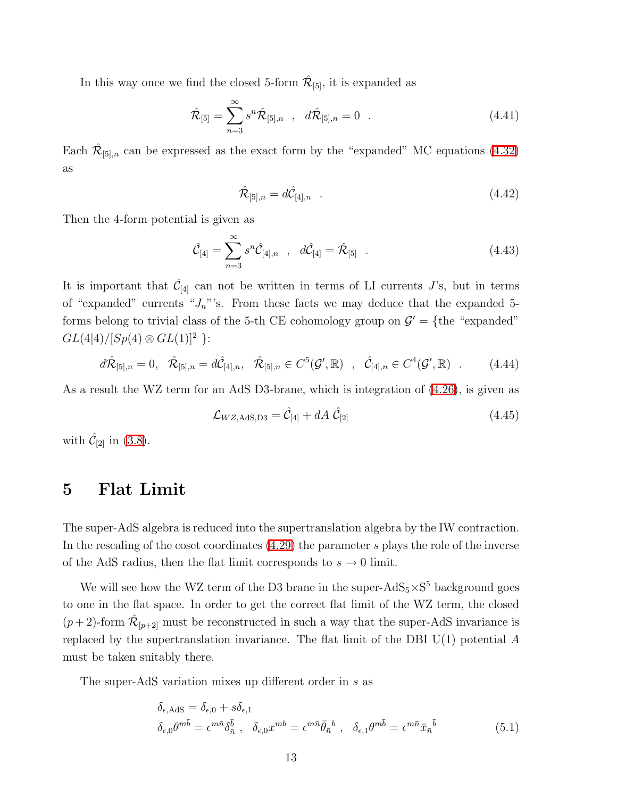In this way once we find the closed 5-form  $\hat{\mathcal{R}}_{[5]}$ , it is expanded as

$$
\hat{\mathcal{R}}_{[5]} = \sum_{n=3}^{\infty} s^n \hat{\mathcal{R}}_{[5],n} \quad , \quad d\hat{\mathcal{R}}_{[5],n} = 0 \quad . \tag{4.41}
$$

Each  $\hat{\mathcal{R}}_{[5],n}$  can be expressed as the exact form by the "expanded" MC equations [\(4.32\)](#page-10-1) as

$$
\hat{\mathcal{R}}_{[5],n} = d\hat{\mathcal{C}}_{[4],n} \quad . \tag{4.42}
$$

Then the 4-form potential is given as

$$
\hat{\mathcal{C}}_{[4]} = \sum_{n=3}^{\infty} s^n \hat{\mathcal{C}}_{[4],n} \quad , \quad d\hat{\mathcal{C}}_{[4]} = \hat{\mathcal{R}}_{[5]} \quad . \tag{4.43}
$$

It is important that  $\hat{\mathcal{C}}_{[4]}$  can not be written in terms of LI currents J's, but in terms of "expanded" currents " $J_n$ "'s. From these facts we may deduce that the expanded 5forms belong to trivial class of the 5-th CE cohomology group on  $\mathcal{G}' = \{$ the "expanded"  $GL(4|4)/[Sp(4) \otimes GL(1)]^2$  }:

$$
d\hat{\mathcal{R}}_{[5],n} = 0, \quad \hat{\mathcal{R}}_{[5],n} = d\hat{\mathcal{C}}_{[4],n}, \quad \hat{\mathcal{R}}_{[5],n} \in C^5(\mathcal{G}',\mathbb{R}) \quad , \quad \hat{\mathcal{C}}_{[4],n} \in C^4(\mathcal{G}',\mathbb{R}) \quad . \tag{4.44}
$$

As a result the WZ term for an AdS D3-brane, which is integration of [\(4.26\)](#page-10-0), is given as

$$
\mathcal{L}_{WZ, \text{AdS}, D3} = \hat{\mathcal{C}}_{[4]} + dA \; \hat{\mathcal{C}}_{[2]} \tag{4.45}
$$

with  $\hat{\mathcal{C}}_{[2]}$  in [\(3.8\)](#page-5-1).

# 5 Flat Limit

The super-AdS algebra is reduced into the supertranslation algebra by the IW contraction. In the rescaling of the coset coordinates  $(4.29)$  the parameter s plays the role of the inverse of the AdS radius, then the flat limit corresponds to  $s \to 0$  limit.

We will see how the WZ term of the D3 brane in the super- $AdS_5 \times S^5$  background goes to one in the flat space. In order to get the correct flat limit of the WZ term, the closed  $(p+2)$ -form  $\hat{\mathcal{R}}_{[p+2]}$  must be reconstructed in such a way that the super-AdS invariance is replaced by the supertranslation invariance. The flat limit of the DBI  $U(1)$  potential A must be taken suitably there.

<span id="page-12-0"></span>The super-AdS variation mixes up different order in s as

$$
\delta_{\epsilon,\text{AdS}} = \delta_{\epsilon,0} + s\delta_{\epsilon,1}
$$
\n
$$
\delta_{\epsilon,0}\theta^{m\bar{b}} = \epsilon^{m\bar{n}}\delta_{\bar{n}}^{\bar{b}}, \quad \delta_{\epsilon,0}x^{m\bar{b}} = \epsilon^{m\bar{n}}\bar{\theta}_{\bar{n}}^{\ b}, \quad \delta_{\epsilon,1}\theta^{m\bar{b}} = \epsilon^{m\bar{n}}\bar{x}_{\bar{n}}^{\ \bar{b}}
$$
\n
$$
(5.1)
$$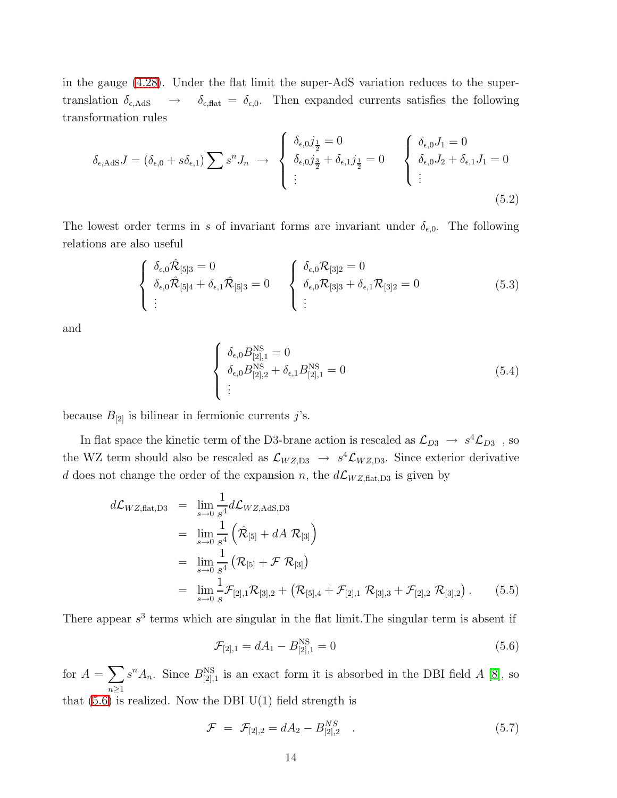in the gauge [\(4.28\)](#page-10-3). Under the flat limit the super-AdS variation reduces to the supertranslation  $\delta_{\epsilon, AdS} \rightarrow \delta_{\epsilon, flat} = \delta_{\epsilon, 0}$ . Then expanded currents satisfies the following transformation rules

<span id="page-13-3"></span>
$$
\delta_{\epsilon, \text{AdS}} J = (\delta_{\epsilon,0} + s\delta_{\epsilon,1}) \sum s^n J_n \longrightarrow \begin{cases} \delta_{\epsilon,0} j_{\frac{1}{2}} = 0 \\ \delta_{\epsilon,0} j_{\frac{3}{2}} + \delta_{\epsilon,1} j_{\frac{1}{2}} = 0 \\ \vdots \end{cases} \begin{cases} \delta_{\epsilon,0} J_1 = 0 \\ \delta_{\epsilon,0} J_2 + \delta_{\epsilon,1} J_1 = 0 \\ \vdots \end{cases}
$$
(5.2)

The lowest order terms in s of invariant forms are invariant under  $\delta_{\epsilon,0}$ . The following relations are also useful

$$
\begin{cases}\n\delta_{\epsilon,0}\hat{\mathcal{R}}_{[5]3} = 0 \\
\delta_{\epsilon,0}\hat{\mathcal{R}}_{[5]4} + \delta_{\epsilon,1}\hat{\mathcal{R}}_{[5]3} = 0 \\
\vdots\n\end{cases}\n\begin{cases}\n\delta_{\epsilon,0}\mathcal{R}_{[3]2} = 0 \\
\delta_{\epsilon,0}\mathcal{R}_{[3]3} + \delta_{\epsilon,1}\mathcal{R}_{[3]2} = 0 \\
\vdots\n\end{cases}\n(5.3)
$$

<span id="page-13-1"></span>and

<span id="page-13-2"></span>
$$
\begin{cases}\n\delta_{\epsilon,0}B_{[2],1}^{\rm NS} = 0 \\
\delta_{\epsilon,0}B_{[2],2}^{\rm NS} + \delta_{\epsilon,1}B_{[2],1}^{\rm NS} = 0 \\
\vdots\n\end{cases}
$$
\n(5.4)

because  $B_{[2]}$  is bilinear in fermionic currents j's.

In flat space the kinetic term of the D3-brane action is rescaled as  $\mathcal{L}_{D3} \to s^4 \mathcal{L}_{D3}$ , so the WZ term should also be rescaled as  $\mathcal{L}_{WZ,D3} \to s^4 \mathcal{L}_{WZ,D3}$ . Since exterior derivative d does not change the order of the expansion n, the  $d\mathcal{L}_{WZ,\text{flat},D3}$  is given by

$$
d\mathcal{L}_{WZ,\text{flat},D3} = \lim_{s \to 0} \frac{1}{s^4} d\mathcal{L}_{WZ,\text{AdS},D3}
$$
  
\n
$$
= \lim_{s \to 0} \frac{1}{s^4} \left( \hat{\mathcal{R}}_{[5]} + dA \mathcal{R}_{[3]} \right)
$$
  
\n
$$
= \lim_{s \to 0} \frac{1}{s^4} \left( \mathcal{R}_{[5]} + \mathcal{F} \mathcal{R}_{[3]} \right)
$$
  
\n
$$
= \lim_{s \to 0} \frac{1}{s} \mathcal{F}_{[2],1} \mathcal{R}_{[3],2} + \left( \mathcal{R}_{[5],4} + \mathcal{F}_{[2],1} \mathcal{R}_{[3],3} + \mathcal{F}_{[2],2} \mathcal{R}_{[3],2} \right).
$$
 (5.5)

There appear  $s<sup>3</sup>$  terms which are singular in the flat limit. The singular term is absent if

<span id="page-13-0"></span>
$$
\mathcal{F}_{[2],1} = dA_1 - B_{[2],1}^{\text{NS}} = 0 \tag{5.6}
$$

for  $A=\sum$  $n \geq 1$  $s^n A_n$ . Since  $B_{[2],1}^{\text{NS}}$  is an exact form it is absorbed in the DBI field A [\[8\]](#page-17-1), so that  $(5.6)$  is realized. Now the DBI U(1) field strength is

$$
\mathcal{F} = \mathcal{F}_{[2],2} = dA_2 - B_{[2],2}^{NS} \quad . \tag{5.7}
$$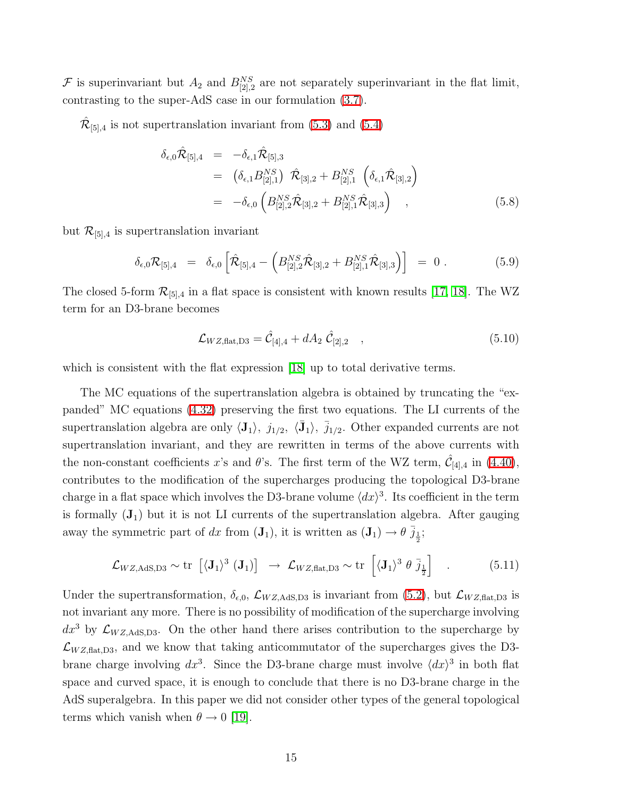F is superinvariant but  $A_2$  and  $B_{[2],2}^{NS}$  are not separately superinvariant in the flat limit, contrasting to the super-AdS case in our formulation [\(3.7\)](#page-4-5).

 $\hat{\mathcal{R}}_{[5],4}$  is not supertranslation invariant from [\(5.3\)](#page-13-1) and [\(5.4\)](#page-13-2)

$$
\delta_{\epsilon,0}\hat{\mathcal{R}}_{[5],4} = -\delta_{\epsilon,1}\hat{\mathcal{R}}_{[5],3} \n= (\delta_{\epsilon,1}B_{[2],1}^{NS}) \hat{\mathcal{R}}_{[3],2} + B_{[2],1}^{NS} (\delta_{\epsilon,1}\hat{\mathcal{R}}_{[3],2}) \n= -\delta_{\epsilon,0} (B_{[2],2}^{NS}\hat{\mathcal{R}}_{[3],2} + B_{[2],1}^{NS}\hat{\mathcal{R}}_{[3],3}),
$$
\n(5.8)

but  $\mathcal{R}_{[5],4}$  is supertranslation invariant

$$
\delta_{\epsilon,0} \mathcal{R}_{[5],4} = \delta_{\epsilon,0} \left[ \hat{\mathcal{R}}_{[5],4} - \left( B_{[2],2}^{NS} \hat{\mathcal{R}}_{[3],2} + B_{[2],1}^{NS} \hat{\mathcal{R}}_{[3],3} \right) \right] = 0.
$$
 (5.9)

The closed 5-form  $\mathcal{R}_{[5],4}$  in a flat space is consistent with known results [\[17,](#page-17-10) [18\]](#page-17-11). The WZ term for an D3-brane becomes

$$
\mathcal{L}_{WZ, \text{flat}, D3} = \hat{\mathcal{C}}_{[4], 4} + dA_2 \; \hat{\mathcal{C}}_{[2], 2} \quad , \tag{5.10}
$$

which is consistent with the flat expression [\[18\]](#page-17-11) up to total derivative terms.

The MC equations of the supertranslation algebra is obtained by truncating the "expanded" MC equations [\(4.32\)](#page-10-1) preserving the first two equations. The LI currents of the supertranslation algebra are only  $\langle J_1 \rangle$ ,  $j_{1/2}$ ,  $\langle \bar{J}_1 \rangle$ ,  $\bar{j}_{1/2}$ . Other expanded currents are not supertranslation invariant, and they are rewritten in terms of the above currents with the non-constant coefficients x's and  $\theta$ 's. The first term of the WZ term,  $\hat{\mathcal{C}}_{[4],4}$  in [\(4.40\)](#page-11-0), contributes to the modification of the supercharges producing the topological D3-brane charge in a flat space which involves the D3-brane volume  $\langle dx \rangle^3$ . Its coefficient in the term is formally  $(\mathbf{J}_1)$  but it is not LI currents of the supertranslation algebra. After gauging away the symmetric part of dx from  $(\mathbf{J}_1)$ , it is written as  $(\mathbf{J}_1) \to \theta \bar{j}_\frac{1}{2}$ ;

$$
\mathcal{L}_{WZ,\text{AdS},D3} \sim \text{tr}\left[ \langle \mathbf{J}_1 \rangle^3 \left( \mathbf{J}_1 \right) \right] \rightarrow \mathcal{L}_{WZ,\text{flat},D3} \sim \text{tr}\left[ \langle \mathbf{J}_1 \rangle^3 \theta \bar{j}_\frac{1}{2} \right] \quad . \tag{5.11}
$$

Under the supertransformation,  $\delta_{\epsilon,0}$ ,  $\mathcal{L}_{WZ,\text{AdS,D3}}$  is invariant from [\(5.2\)](#page-13-3), but  $\mathcal{L}_{WZ,\text{flat,D3}}$  is not invariant any more. There is no possibility of modification of the supercharge involving  $dx^3$  by  $\mathcal{L}_{WZ,AdS,D3}$ . On the other hand there arises contribution to the supercharge by  $\mathcal{L}_{WZ, \text{flat}, D3}$ , and we know that taking anticommutator of the supercharges gives the D3brane charge involving  $dx^3$ . Since the D3-brane charge must involve  $\langle dx \rangle^3$  in both flat space and curved space, it is enough to conclude that there is no D3-brane charge in the AdS superalgebra. In this paper we did not consider other types of the general topological terms which vanish when  $\theta \rightarrow 0$  [\[19\]](#page-17-12).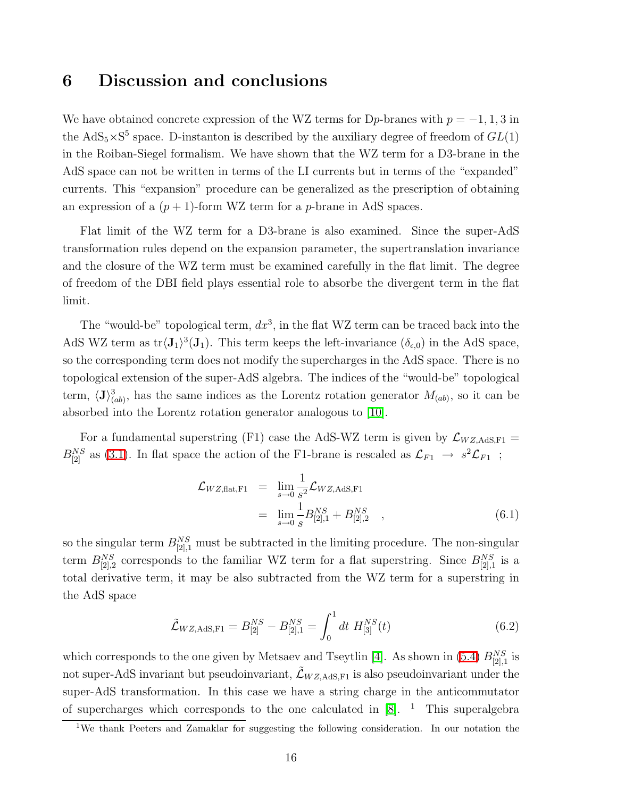### 6 Discussion and conclusions

We have obtained concrete expression of the WZ terms for D<sub>p</sub>-branes with  $p = -1, 1, 3$  in the  $AdS_5 \times S^5$  space. D-instanton is described by the auxiliary degree of freedom of  $GL(1)$ in the Roiban-Siegel formalism. We have shown that the WZ term for a D3-brane in the AdS space can not be written in terms of the LI currents but in terms of the "expanded" currents. This "expansion" procedure can be generalized as the prescription of obtaining an expression of a  $(p+1)$ -form WZ term for a *p*-brane in AdS spaces.

Flat limit of the WZ term for a D3-brane is also examined. Since the super-AdS transformation rules depend on the expansion parameter, the supertranslation invariance and the closure of the WZ term must be examined carefully in the flat limit. The degree of freedom of the DBI field plays essential role to absorbe the divergent term in the flat limit.

The "would-be" topological term,  $dx^3$ , in the flat WZ term can be traced back into the AdS WZ term as  $\text{tr} \langle \mathbf{J}_1 \rangle^3(\mathbf{J}_1)$ . This term keeps the left-invariance  $(\delta_{\epsilon,0})$  in the AdS space, so the corresponding term does not modify the supercharges in the AdS space. There is no topological extension of the super-AdS algebra. The indices of the "would-be" topological term,  $\langle J \rangle^3_{(ab)}$ , has the same indices as the Lorentz rotation generator  $M_{(ab)}$ , so it can be absorbed into the Lorentz rotation generator analogous to [\[10\]](#page-17-3).

For a fundamental superstring (F1) case the AdS-WZ term is given by  $\mathcal{L}_{WZ,AdS,F1} =$  $B_{[2]}^{NS}$  as [\(3.1\)](#page-4-1). In flat space the action of the F1-brane is rescaled as  $\mathcal{L}_{F1} \to s^2 \mathcal{L}_{F1}$ ;

$$
\mathcal{L}_{WZ, \text{flat}, F1} = \lim_{s \to 0} \frac{1}{s^2} \mathcal{L}_{WZ, \text{AdS}, F1} \n= \lim_{s \to 0} \frac{1}{s} B_{[2], 1}^{NS} + B_{[2], 2}^{NS} ,
$$
\n(6.1)

so the singular term  $B_{[2],1}^{NS}$  must be subtracted in the limiting procedure. The non-singular term  $B_{[2],2}^{NS}$  corresponds to the familiar WZ term for a flat superstring. Since  $B_{[2],1}^{NS}$  is a total derivative term, it may be also subtracted from the WZ term for a superstring in the AdS space

$$
\tilde{\mathcal{L}}_{WZ,\text{AdS},\text{F1}} = B_{[2]}^{NS} - B_{[2],1}^{NS} = \int_0^1 dt \ H_{[3]}^{NS}(t) \tag{6.2}
$$

<span id="page-15-0"></span>which corresponds to the one given by Metsaev and Tseytlin [\[4\]](#page-16-3). As shown in [\(5.4\)](#page-13-2)  $B_{[2],1}^{NS}$  is not super-AdS invariant but pseudoinvariant,  $\tilde{\mathcal{L}}_{W Z, AdS,F1}$  is also pseudoinvariant under the super-AdS transformation. In this case we have a string charge in the anticommutator of supercharges which corresponds to the one calculated in  $[8]$ . <sup>1</sup> This superalgebra

<sup>&</sup>lt;sup>1</sup>We thank Peeters and Zamaklar for suggesting the following consideration. In our notation the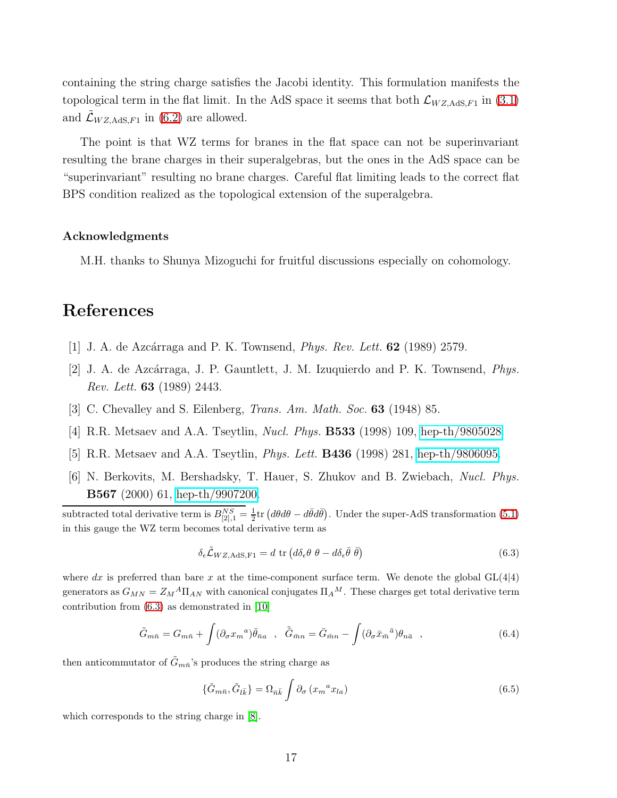containing the string charge satisfies the Jacobi identity. This formulation manifests the topological term in the flat limit. In the AdS space it seems that both  $\mathcal{L}_{WZ,AdS,F1}$  in [\(3.1\)](#page-4-1) and  $\mathcal{L}_{WZ, \text{AdS}, F1}$  in [\(6.2\)](#page-15-0) are allowed.

The point is that WZ terms for branes in the flat space can not be superinvariant resulting the brane charges in their superalgebras, but the ones in the AdS space can be "superinvariant" resulting no brane charges. Careful flat limiting leads to the correct flat BPS condition realized as the topological extension of the superalgebra.

#### Acknowledgments

M.H. thanks to Shunya Mizoguchi for fruitful discussions especially on cohomology.

# <span id="page-16-0"></span>References

- <span id="page-16-1"></span>[1] J. A. de Azcárraga and P. K. Townsend, *Phys. Rev. Lett.* **62** (1989) 2579.
- <span id="page-16-2"></span>[2] J. A. de Azc´arraga, J. P. Gauntlett, J. M. Izuquierdo and P. K. Townsend, *Phys. Rev. Lett.* 63 (1989) 2443.
- <span id="page-16-3"></span>[3] C. Chevalley and S. Eilenberg, *Trans. Am. Math. Soc.* 63 (1948) 85.
- <span id="page-16-4"></span>[4] R.R. Metsaev and A.A. Tseytlin, *Nucl. Phys.* B533 (1998) 109, [hep-th/9805028.](http://arXiv.org/abs/hep-th/9805028)
- <span id="page-16-5"></span>[5] R.R. Metsaev and A.A. Tseytlin, *Phys. Lett.* B436 (1998) 281, [hep-th/9806095.](http://arXiv.org/abs/hep-th/9806095)
- [6] N. Berkovits, M. Bershadsky, T. Hauer, S. Zhukov and B. Zwiebach, *Nucl. Phys.* B567 (2000) 61, [hep-th/9907200.](http://arXiv.org/abs/hep-th/9907200)

subtracted total derivative term is  $B_{[2],1}^{NS} = \frac{1}{2} \text{tr} \left( d\theta d\theta - d\bar{\theta} d\bar{\theta} \right)$ . Under the super-AdS transformation [\(5.1\)](#page-12-0) in this gauge the WZ term becomes total derivative term as

$$
\delta_{\epsilon}\tilde{\mathcal{L}}_{WZ,\text{AdS},\text{F1}} = d \text{ tr}\left(d\delta_{\epsilon}\theta \ \theta - d\delta_{\epsilon}\bar{\theta} \ \bar{\theta}\right) \tag{6.3}
$$

<span id="page-16-6"></span>where dx is preferred than bare x at the time-component surface term. We denote the global  $GL(4|4)$ generators as  $G_{MN} = Z_M{}^A \Pi_{AN}$  with canonical conjugates  $\Pi_A{}^M$ . These charges get total derivative term contribution from [\(6.3\)](#page-16-6) as demonstrated in [\[10\]](#page-17-3)

$$
\tilde{G}_{m\bar{n}} = G_{m\bar{n}} + \int (\partial_{\sigma} x_m{}^a) \bar{\theta}_{\bar{n}a} , \quad \tilde{\bar{G}}_{\bar{m}n} = \bar{G}_{\bar{m}n} - \int (\partial_{\sigma} \bar{x}_{\bar{m}}{}^{\bar{a}}) \theta_{n\bar{a}} , \qquad (6.4)
$$

then anticommutator of  $\tilde{G}_{m\bar{n}}$ 's produces the string charge as

$$
\{\tilde{G}_{m\bar{n}}, \tilde{G}_{l\bar{k}}\} = \Omega_{\bar{n}\bar{k}} \int \partial_{\sigma} \left(x_m^{\ a} x_{l a}\right) \tag{6.5}
$$

which corresponds to the string charge in [\[8\]](#page-17-1).